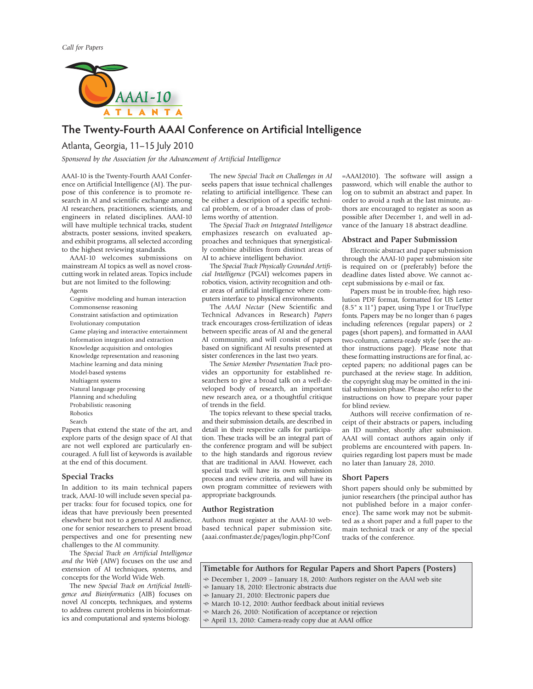

# **The Twenty-Fourth AAAI Conference on Artificial Intelligence**

Atlanta, Georgia, 11–15 July 2010 *Sponsored by the Association for the Advancement of Artificial Intelligence*

AAAI-10 is the Twenty-Fourth AAAI Conference on Artificial Intelligence (AI). The purpose of this conference is to promote research in AI and scientific exchange among AI researchers, practitioners, scientists, and engineers in related disciplines. AAAI-10 will have multiple technical tracks, student abstracts, poster sessions, invited speakers, and exhibit programs, all selected according to the highest reviewing standards.

AAAI-10 welcomes submissions on mainstream AI topics as well as novel crosscutting work in related areas. Topics include but are not limited to the following:

Agents

- Cognitive modeling and human interaction Commonsense reasoning
- Constraint satisfaction and optimization
- Evolutionary computation
- Game playing and interactive entertainment
- Information integration and extraction
- Knowledge acquisition and ontologies
- Knowledge representation and reasoning
- Machine learning and data mining
- Model-based systems
- Multiagent systems
- Natural language processing
- Planning and scheduling
- Probabilistic reasoning
- Robotics Search

Papers that extend the state of the art, and explore parts of the design space of AI that are not well explored are particularly encouraged. A full list of keywords is available at the end of this document.

# **Special Tracks**

In addition to its main technical papers track, AAAI-10 will include seven special paper tracks: four for focused topics, one for ideas that have previously been presented elsewhere but not to a general AI audience, one for senior researchers to present broad perspectives and one for presenting new challenges to the AI community.

The *Special Track on Artificial Intelligence and the Web* (AIW) focuses on the use and extension of AI techniques, systems, and concepts for the World Wide Web.

The new *Special Track on Artificial Intelligence and Bioinformatics* (AIB) focuses on novel AI concepts, techniques, and systems to address current problems in bioinformatics and computational and systems biology.

The new *Special Track on Challenges in AI* seeks papers that issue technical challenges relating to artificial intelligence. These can be either a description of a specific technical problem, or of a broader class of problems worthy of attention.

The *Special Track on Integrated Intelligence* emphasizes research on evaluated approaches and techniques that synergistically combine abilities from distinct areas of AI to achieve intelligent behavior.

The *Special Track Physically Grounded Artificial Intelligence* (PGAI) welcomes papers in robotics, vision, activity recognition and other areas of artificial intelligence where computers interface to physical environments.

The *AAAI Nectar* (New Scientific and Technical Advances in Research) *Papers* track encourages cross-fertilization of ideas between specific areas of AI and the general AI community, and will consist of papers based on significant AI results presented at sister conferences in the last two years.

The *Senior Member Presentation Track* provides an opportunity for established researchers to give a broad talk on a well-developed body of research, an important new research area, or a thoughtful critique of trends in the field.

The topics relevant to these special tracks, and their submission details, are described in detail in their respective calls for participation. These tracks will be an integral part of the conference program and will be subject to the high standards and rigorous review that are traditional in AAAI. However, each special track will have its own submission process and review criteria, and will have its own program committee of reviewers with appropriate backgrounds.

## **Author Registration**

Authors must register at the AAAI-10 webbased technical paper submission site, (aaai.confmaster.de/pages/login.php?Conf

=AAAI2010). The software will assign a password, which will enable the author to log on to submit an abstract and paper. In order to avoid a rush at the last minute, authors are encouraged to register as soon as possible after December 1, and well in advance of the January 18 abstract deadline.

#### **Abstract and Paper Submission**

Electronic abstract and paper submission through the AAAI-10 paper submission site is required on or (preferably) before the deadline dates listed above. We cannot accept submissions by e-mail or fax.

Papers must be in trouble-free, high resolution PDF format, formatted for US Letter (8.5" x 11") paper, using Type 1 or TrueType fonts. Papers may be no longer than 6 pages including references (regular papers) or 2 pages (short papers), and formatted in AAAI two-column, camera-ready style (see the author instructions page). Please note that these formatting instructions are for final, accepted papers; no additional pages can be purchased at the review stage. In addition, the copyright slug may be omitted in the initial submission phase. Please also refer to the instructions on how to prepare your paper for blind review.

Authors will receive confirmation of receipt of their abstracts or papers, including an ID number, shortly after submission. AAAI will contact authors again only if problems are encountered with papers. Inquiries regarding lost papers must be made no later than January 28, 2010.

## **Short Papers**

Short papers should only be submitted by junior researchers (the principal author has not published before in a major conference). The same work may not be submitted as a short paper and a full paper to the main technical track or any of the special tracks of the conference.

# **Timetable for Authors for Regular Papers and Short Papers (Posters)**

- December 1, 2009 January 18, 2010: Authors register on the AAAI web site
- January 18, 2010: Electronic abstracts due
- January 21, 2010: Electronic papers due
- March 10-12, 2010: Author feedback about initial reviews
- March 26, 2010: Notification of acceptance or rejection
- April 13, 2010: Camera-ready copy due at AAAI office